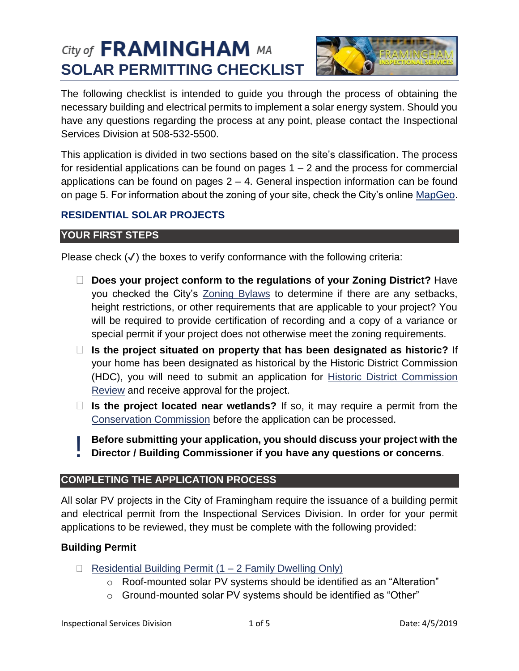# City of **FRAMINGHAM** MA **SOLAR PERMITTING CHECKLIST**



The following checklist is intended to guide you through the process of obtaining the necessary building and electrical permits to implement a solar energy system. Should you have any questions regarding the process at any point, please contact the Inspectional Services Division at 508-532-5500.

This application is divided in two sections based on the site's classification. The process for residential applications can be found on pages  $1 - 2$  and the process for commercial applications can be found on pages  $2 - 4$ . General inspection information can be found on page 5. For information about the zoning of your site, check the City's online [MapGeo.](https://framinghamma.mapgeo.io/datasets/properties?abuttersDistance=100&latlng=42.304927%2C-71.436912&zoom=13)

# **RESIDENTIAL SOLAR PROJECTS**

# **YOUR FIRST STEPS**

Please check  $(\checkmark)$  the boxes to verify conformance with the following criteria:

- **Does your project conform to the regulations of your Zoning District?** Have you checked the City's [Zoning Bylaws](https://www.framinghamma.gov/DocumentCenter/View/32932/Framingham-Zoning-By-Law-10-17-2018a) to determine if there are any setbacks, height restrictions, or other requirements that are applicable to your project? You will be required to provide certification of recording and a copy of a variance or special permit if your project does not otherwise meet the zoning requirements.
- **Is the project situated on property that has been designated as historic?** If your home has been designated as historical by the Historic District Commission (HDC), you will need to submit an application for [Historic District Commission](https://www.framinghamma.gov/DocumentCenter/View/13209/COA-FINAL-SEPT-PDF?bidId=)  [Review](https://www.framinghamma.gov/DocumentCenter/View/13209/COA-FINAL-SEPT-PDF?bidId=) and receive approval for the project.
- **Is the project located near wetlands?** If so, it may require a permit from the [Conservation Commission](https://www.framinghamma.gov/491/How-to-Get-a-Permit) before the application can be processed.

**Before submitting your application, you should discuss your project with the Director / Building Commissioner if you have any questions or concerns**. |<br>|-

## **COMPLETING THE APPLICATION PROCESS**

All solar PV projects in the City of Framingham require the issuance of a building permit and electrical permit from the Inspectional Services Division. In order for your permit applications to be reviewed, they must be complete with the following provided:

## **Building Permit**

- Residential Building Permit  $(1 2$  Family Dwelling Only)
	- o Roof-mounted solar PV systems should be identified as an "Alteration"
	- o Ground-mounted solar PV systems should be identified as "Other"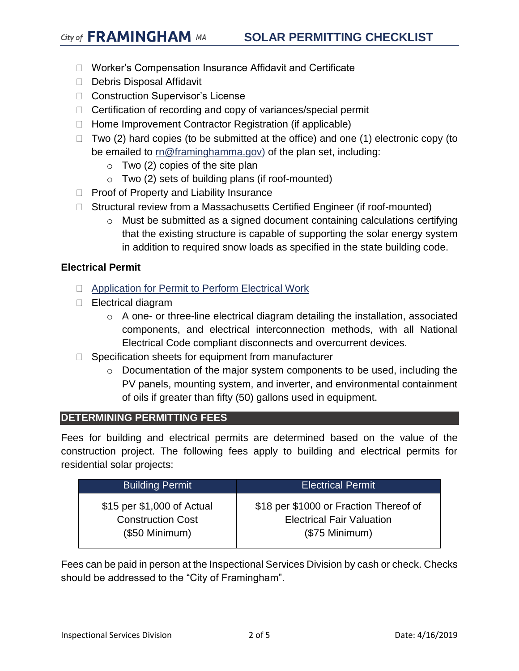- □ Worker's Compensation Insurance Affidavit and Certificate
- Debris Disposal Affidavit
- □ Construction Supervisor's License
- □ Certification of recording and copy of variances/special permit
- $\Box$  Home Improvement Contractor Registration (if applicable)
- $\Box$  Two (2) hard copies (to be submitted at the office) and one (1) electronic copy (to be emailed to [rn@framinghamma.gov\)](mailto:rn@framinghamma.gov) of the plan set, including:
	- $\circ$  Two (2) copies of the site plan
	- $\circ$  Two (2) sets of building plans (if roof-mounted)
- $\Box$  Proof of Property and Liability Insurance
- □ Structural review from a Massachusetts Certified Engineer (if roof-mounted)
	- o Must be submitted as a signed document containing calculations certifying that the existing structure is capable of supporting the solar energy system in addition to required snow loads as specified in the state building code.

#### **Electrical Permit**

- **Example 2 [Application for Permit to Perform Electrical Work](https://www.framinghamma.gov/DocumentCenter/View/313/Mass-electrical?bidId=)**
- □ Electrical diagram
	- o A one- or three-line electrical diagram detailing the installation, associated components, and electrical interconnection methods, with all National Electrical Code compliant disconnects and overcurrent devices.
- $\Box$  Specification sheets for equipment from manufacturer
	- $\circ$  Documentation of the major system components to be used, including the PV panels, mounting system, and inverter, and environmental containment of oils if greater than fifty (50) gallons used in equipment.

#### **DETERMINING PERMITTING FEES**

Fees for building and electrical permits are determined based on the value of the construction project. The following fees apply to building and electrical permits for residential solar projects:

| <b>Building Permit</b>     | <b>Electrical Permit</b>               |
|----------------------------|----------------------------------------|
| \$15 per \$1,000 of Actual | \$18 per \$1000 or Fraction Thereof of |
| <b>Construction Cost</b>   | <b>Electrical Fair Valuation</b>       |
| $($50$ Minimum)            | $($75$ Minimum)                        |

Fees can be paid in person at the Inspectional Services Division by cash or check. Checks should be addressed to the "City of Framingham".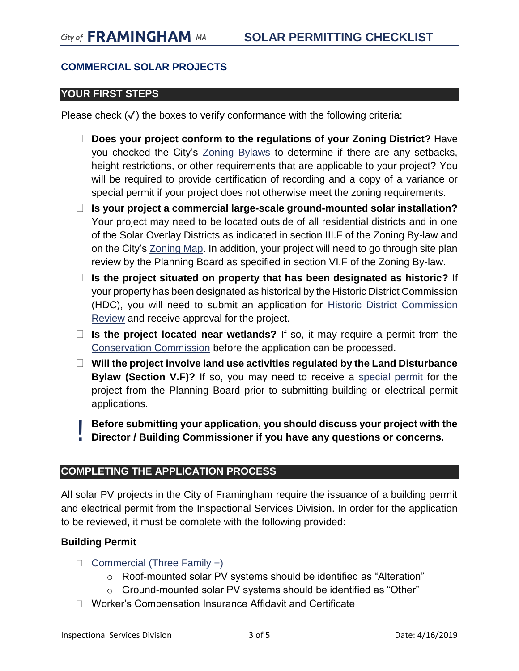## **COMMERCIAL SOLAR PROJECTS**

## **YOUR FIRST STEPS**

Please check  $(\checkmark)$  the boxes to verify conformance with the following criteria:

- **Does your project conform to the regulations of your Zoning District?** Have you checked the City's [Zoning Bylaws](https://www.framinghamma.gov/DocumentCenter/View/32932/Framingham-Zoning-By-Law-10-17-2018a) to determine if there are any setbacks, height restrictions, or other requirements that are applicable to your project? You will be required to provide certification of recording and a copy of a variance or special permit if your project does not otherwise meet the zoning requirements.
- **Is your project a commercial large-scale ground-mounted solar installation?**  Your project may need to be located outside of all residential districts and in one of the Solar Overlay Districts as indicated in section III.F of the Zoning By-law and on the City's [Zoning Map.](https://www.framinghamma.gov/DocumentCenter/View/18879/ZONING-MAP-5-27-2015?bidId=) In addition, your project will need to go through site plan review by the Planning Board as specified in section VI.F of the Zoning By-law.
- **Is the project situated on property that has been designated as historic?** If your property has been designated as historical by the Historic District Commission (HDC), you will need to submit an application for [Historic District Commission](https://www.framinghamma.gov/DocumentCenter/View/13209/COA-FINAL-SEPT-PDF?bidId=)  [Review](https://www.framinghamma.gov/DocumentCenter/View/13209/COA-FINAL-SEPT-PDF?bidId=) and receive approval for the project.
- **Is the project located near wetlands?** If so, it may require a permit from the [Conservation Commission](https://www.framinghamma.gov/491/How-to-Get-a-Permit) before the application can be processed.
- **Will the project involve land use activities regulated by the Land Disturbance Bylaw (Section V.F)?** If so, you may need to receive a [special permit](https://www.framinghamma.gov/DocumentCenter/View/27200/Zoning-By-Law-Application-FORM-J-Special-Permit-for-Land-Disturbance--Stormwater-Management?bidId=) for the project from the Planning Board prior to submitting building or electrical permit applications.

**Before submitting your application, you should discuss your project with the Director / Building Commissioner if you have any questions or concerns.**  !<br>!!

## **COMPLETING THE APPLICATION PROCESS**

All solar PV projects in the City of Framingham require the issuance of a building permit and electrical permit from the Inspectional Services Division. In order for the application to be reviewed, it must be complete with the following provided:

## **Building Permit**

- $\Box$  [Commercial](https://www.framinghamma.gov/DocumentCenter/View/12081/Commercial-3-Building-Permit-Application?bidId=) (Three Family +)
	- o Roof-mounted solar PV systems should be identified as "Alteration"
	- o Ground-mounted solar PV systems should be identified as "Other"
- □ Worker's Compensation Insurance Affidavit and Certificate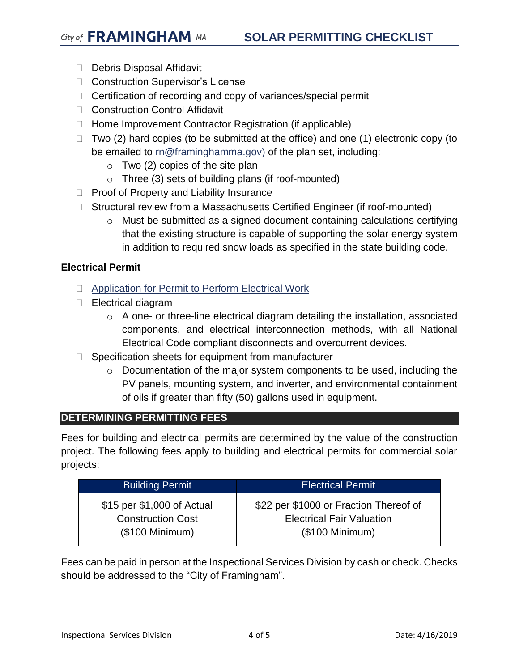- Debris Disposal Affidavit
- □ Construction Supervisor's License
- $\Box$  Certification of recording and copy of variances/special permit
- □ Construction Control Affidavit
- $\Box$  Home Improvement Contractor Registration (if applicable)
- $\Box$  Two (2) hard copies (to be submitted at the office) and one (1) electronic copy (to be emailed to  $m@framinghamma.gov$  of the plan set, including:
	- $\circ$  Two (2) copies of the site plan
	- o Three (3) sets of building plans (if roof-mounted)
- $\Box$  Proof of Property and Liability Insurance
- □ Structural review from a Massachusetts Certified Engineer (if roof-mounted)
	- o Must be submitted as a signed document containing calculations certifying that the existing structure is capable of supporting the solar energy system in addition to required snow loads as specified in the state building code.

#### **Electrical Permit**

- **E** [Application for Permit to Perform Electrical Work](https://www.framinghamma.gov/DocumentCenter/View/313/Mass-electrical?bidId=)
- □ Electrical diagram
	- o A one- or three-line electrical diagram detailing the installation, associated components, and electrical interconnection methods, with all National Electrical Code compliant disconnects and overcurrent devices.
- $\Box$  Specification sheets for equipment from manufacturer
	- $\circ$  Documentation of the major system components to be used, including the PV panels, mounting system, and inverter, and environmental containment of oils if greater than fifty (50) gallons used in equipment.

#### **DETERMINING PERMITTING FEES**

Fees for building and electrical permits are determined by the value of the construction project. The following fees apply to building and electrical permits for commercial solar projects:

| <b>Building Permit</b>     | <b>Electrical Permit</b>               |
|----------------------------|----------------------------------------|
| \$15 per \$1,000 of Actual | \$22 per \$1000 or Fraction Thereof of |
| <b>Construction Cost</b>   | <b>Electrical Fair Valuation</b>       |
| $($100$ Minimum)           | $($100$ Minimum)                       |

Fees can be paid in person at the Inspectional Services Division by cash or check. Checks should be addressed to the "City of Framingham".